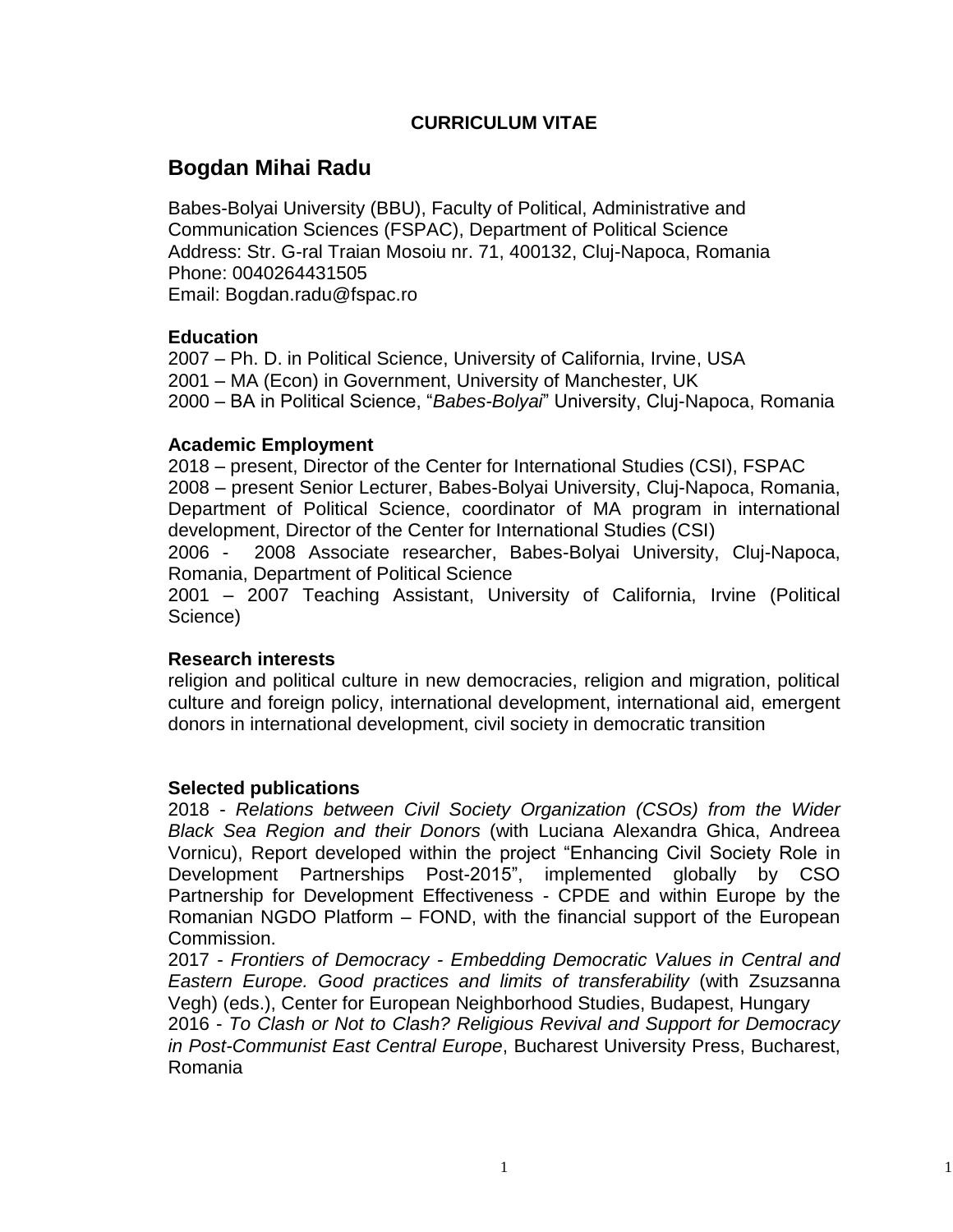## **CURRICULUM VITAE**

# **Bogdan Mihai Radu**

Babes-Bolyai University (BBU), Faculty of Political, Administrative and Communication Sciences (FSPAC), Department of Political Science Address: Str. G-ral Traian Mosoiu nr. 71, 400132, Cluj-Napoca, Romania Phone: 0040264431505 Email: Bogdan.radu@fspac.ro

## **Education**

2007 – Ph. D. in Political Science, University of California, Irvine, USA 2001 – MA (Econ) in Government, University of Manchester, UK 2000 – BA in Political Science, "*Babes-Bolyai*" University, Cluj-Napoca, Romania

#### **Academic Employment**

2018 – present, Director of the Center for International Studies (CSI), FSPAC 2008 – present Senior Lecturer, Babes-Bolyai University, Cluj-Napoca, Romania, Department of Political Science, coordinator of MA program in international development, Director of the Center for International Studies (CSI)

2006 - 2008 Associate researcher, Babes-Bolyai University, Cluj-Napoca, Romania, Department of Political Science

2001 – 2007 Teaching Assistant, University of California, Irvine (Political Science)

## **Research interests**

religion and political culture in new democracies, religion and migration, political culture and foreign policy, international development, international aid, emergent donors in international development, civil society in democratic transition

#### **Selected publications**

2018 - *Relations between Civil Society Organization (CSOs) from the Wider Black Sea Region and their Donors* (with Luciana Alexandra Ghica, Andreea Vornicu), Report developed within the project "Enhancing Civil Society Role in Development Partnerships Post-2015", implemented globally by CSO Partnership for Development Effectiveness - CPDE and within Europe by the Romanian NGDO Platform – FOND, with the financial support of the European Commission.

2017 - *Frontiers of Democracy - Embedding Democratic Values in Central and Eastern Europe. Good practices and limits of transferability* (with Zsuzsanna Vegh) (eds.), Center for European Neighborhood Studies, Budapest, Hungary

2016 - *To Clash or Not to Clash? Religious Revival and Support for Democracy in Post-Communist East Central Europe*, Bucharest University Press, Bucharest, Romania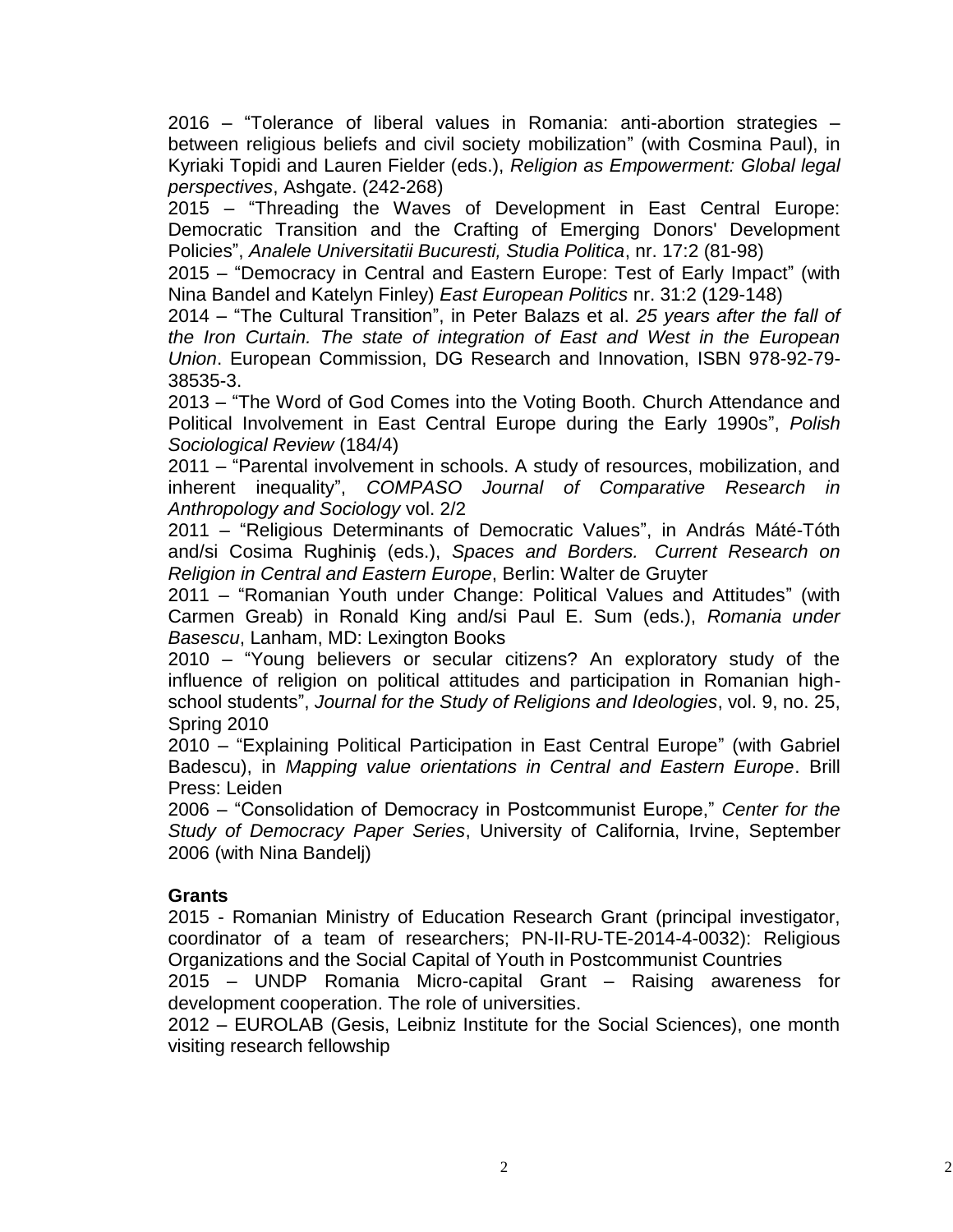2016 – "Tolerance of liberal values in Romania: anti-abortion strategies – between religious beliefs and civil society mobilization" (with Cosmina Paul), in Kyriaki Topidi and Lauren Fielder (eds.), *Religion as Empowerment: Global legal perspectives*, Ashgate. (242-268)

2015 – "Threading the Waves of Development in East Central Europe: Democratic Transition and the Crafting of Emerging Donors' Development Policies", *Analele Universitatii Bucuresti, Studia Politica*, nr. 17:2 (81-98)

2015 – "Democracy in Central and Eastern Europe: Test of Early Impact" (with Nina Bandel and Katelyn Finley) *East European Politics* nr. 31:2 (129-148)

2014 – "The Cultural Transition", in Peter Balazs et al. *25 years after the fall of the Iron Curtain. The state of integration of East and West in the European Union*. European Commission, DG Research and Innovation, ISBN 978-92-79- 38535-3.

2013 – "The Word of God Comes into the Voting Booth. Church Attendance and Political Involvement in East Central Europe during the Early 1990s", *Polish Sociological Review* (184/4)

2011 – "Parental involvement in schools. A study of resources, mobilization, and inherent inequality", *COMPASO Journal of Comparative Research in Anthropology and Sociology* vol. 2/2

2011 – "Religious Determinants of Democratic Values", in András Máté-Tóth and/si Cosima Rughiniş (eds.), *Spaces and Borders. Current Research on Religion in Central and Eastern Europe*, Berlin: Walter de Gruyter

2011 – "Romanian Youth under Change: Political Values and Attitudes" (with Carmen Greab) in Ronald King and/si Paul E. Sum (eds.), *Romania under Basescu*, Lanham, MD: Lexington Books

2010 – "Young believers or secular citizens? An exploratory study of the influence of religion on political attitudes and participation in Romanian highschool students", *Journal for the Study of Religions and Ideologies*, vol. 9, no. 25, Spring 2010

2010 – "Explaining Political Participation in East Central Europe" (with Gabriel Badescu), in *Mapping value orientations in Central and Eastern Europe*. Brill Press: Leiden

2006 – "Consolidation of Democracy in Postcommunist Europe," *Center for the Study of Democracy Paper Series*, University of California, Irvine, September 2006 (with Nina Bandelj)

## **Grants**

2015 - Romanian Ministry of Education Research Grant (principal investigator, coordinator of a team of researchers; PN-II-RU-TE-2014-4-0032): Religious Organizations and the Social Capital of Youth in Postcommunist Countries

2015 – UNDP Romania Micro-capital Grant – Raising awareness for development cooperation. The role of universities.

2012 – EUROLAB (Gesis, Leibniz Institute for the Social Sciences), one month visiting research fellowship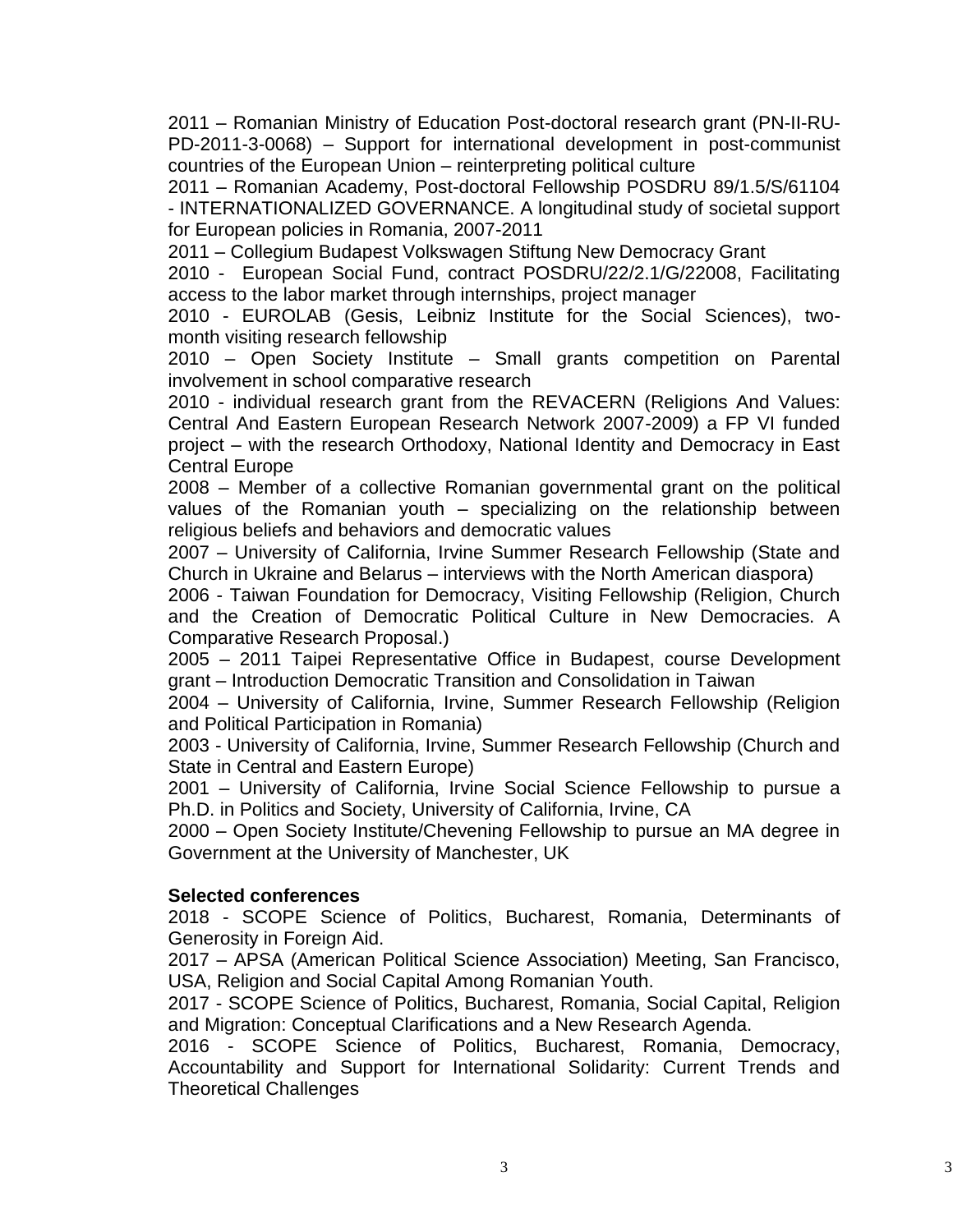2011 – Romanian Ministry of Education Post-doctoral research grant (PN-II-RU-PD-2011-3-0068) – Support for international development in post-communist countries of the European Union – reinterpreting political culture

2011 – Romanian Academy, Post-doctoral Fellowship POSDRU 89/1.5/S/61104 - INTERNATIONALIZED GOVERNANCE. A longitudinal study of societal support for European policies in Romania, 2007-2011

2011 – Collegium Budapest Volkswagen Stiftung New Democracy Grant

2010 - European Social Fund, contract POSDRU/22/2.1/G/22008, Facilitating access to the labor market through internships, project manager

2010 - EUROLAB (Gesis, Leibniz Institute for the Social Sciences), twomonth visiting research fellowship

2010 – Open Society Institute – Small grants competition on Parental involvement in school comparative research

2010 - individual research grant from the REVACERN (Religions And Values: Central And Eastern European Research Network 2007-2009) a FP VI funded project – with the research Orthodoxy, National Identity and Democracy in East Central Europe

2008 – Member of a collective Romanian governmental grant on the political values of the Romanian youth – specializing on the relationship between religious beliefs and behaviors and democratic values

2007 – University of California, Irvine Summer Research Fellowship (State and Church in Ukraine and Belarus – interviews with the North American diaspora)

2006 - Taiwan Foundation for Democracy, Visiting Fellowship (Religion, Church and the Creation of Democratic Political Culture in New Democracies. A Comparative Research Proposal.)

2005 – 2011 Taipei Representative Office in Budapest, course Development grant – Introduction Democratic Transition and Consolidation in Taiwan

2004 – University of California, Irvine, Summer Research Fellowship (Religion and Political Participation in Romania)

2003 - University of California, Irvine, Summer Research Fellowship (Church and State in Central and Eastern Europe)

2001 – University of California, Irvine Social Science Fellowship to pursue a Ph.D. in Politics and Society, University of California, Irvine, CA

2000 – Open Society Institute/Chevening Fellowship to pursue an MA degree in Government at the University of Manchester, UK

## **Selected conferences**

2018 - SCOPE Science of Politics, Bucharest, Romania, Determinants of Generosity in Foreign Aid.

2017 – APSA (American Political Science Association) Meeting, San Francisco, USA, Religion and Social Capital Among Romanian Youth.

2017 - SCOPE Science of Politics, Bucharest, Romania, Social Capital, Religion and Migration: Conceptual Clarifications and a New Research Agenda.

2016 - SCOPE Science of Politics, Bucharest, Romania, Democracy, Accountability and Support for International Solidarity: Current Trends and Theoretical Challenges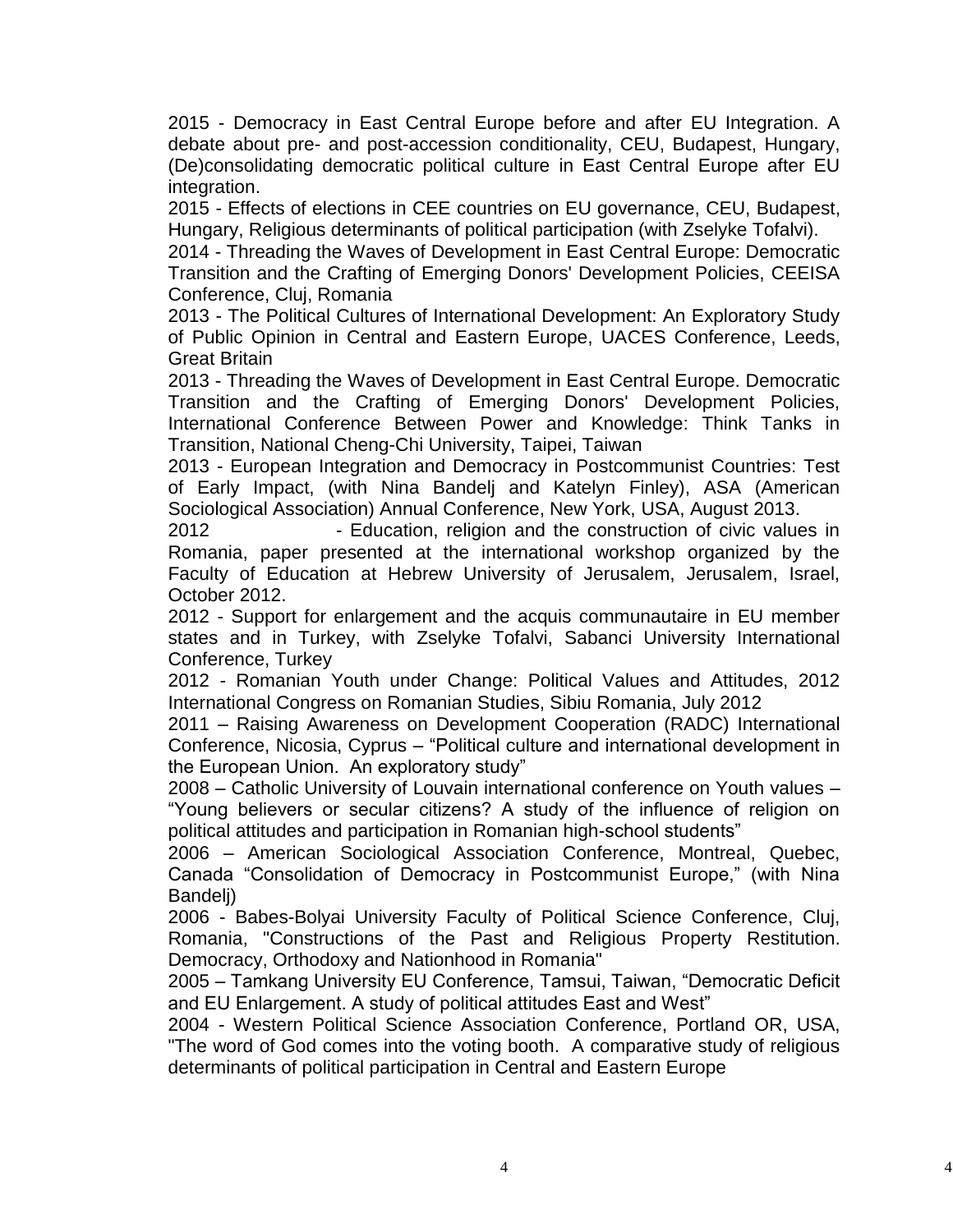2015 - Democracy in East Central Europe before and after EU Integration. A debate about pre- and post-accession conditionality, CEU, Budapest, Hungary, (De)consolidating democratic political culture in East Central Europe after EU integration.

2015 - Effects of elections in CEE countries on EU governance, CEU, Budapest, Hungary, Religious determinants of political participation (with Zselyke Tofalvi).

2014 - Threading the Waves of Development in East Central Europe: Democratic Transition and the Crafting of Emerging Donors' Development Policies, CEEISA Conference, Cluj, Romania

2013 - The Political Cultures of International Development: An Exploratory Study of Public Opinion in Central and Eastern Europe, UACES Conference, Leeds, Great Britain

2013 - Threading the Waves of Development in East Central Europe. Democratic Transition and the Crafting of Emerging Donors' Development Policies, International Conference Between Power and Knowledge: Think Tanks in Transition, National Cheng-Chi University, Taipei, Taiwan

2013 - European Integration and Democracy in Postcommunist Countries: Test of Early Impact, (with Nina Bandelj and Katelyn Finley), ASA (American Sociological Association) Annual Conference, New York, USA, August 2013.

2012 - Education, religion and the construction of civic values in Romania, paper presented at the international workshop organized by the Faculty of Education at Hebrew University of Jerusalem, Jerusalem, Israel, October 2012.

2012 - Support for enlargement and the acquis communautaire in EU member states and in Turkey, with Zselyke Tofalvi, Sabanci University International Conference, Turkey

2012 - Romanian Youth under Change: Political Values and Attitudes, 2012 International Congress on Romanian Studies, Sibiu Romania, July 2012

2011 – Raising Awareness on Development Cooperation (RADC) International Conference, Nicosia, Cyprus – "Political culture and international development in the European Union. An exploratory study"

2008 – Catholic University of Louvain international conference on Youth values – "Young believers or secular citizens? A study of the influence of religion on political attitudes and participation in Romanian high-school students"

2006 – American Sociological Association Conference, Montreal, Quebec, Canada "Consolidation of Democracy in Postcommunist Europe," (with Nina Bandelj)

2006 - Babes-Bolyai University Faculty of Political Science Conference, Cluj, Romania, "Constructions of the Past and Religious Property Restitution. Democracy, Orthodoxy and Nationhood in Romania"

2005 – Tamkang University EU Conference, Tamsui, Taiwan, "Democratic Deficit and EU Enlargement. A study of political attitudes East and West"

2004 - Western Political Science Association Conference, Portland OR, USA, "The word of God comes into the voting booth. A comparative study of religious determinants of political participation in Central and Eastern Europe